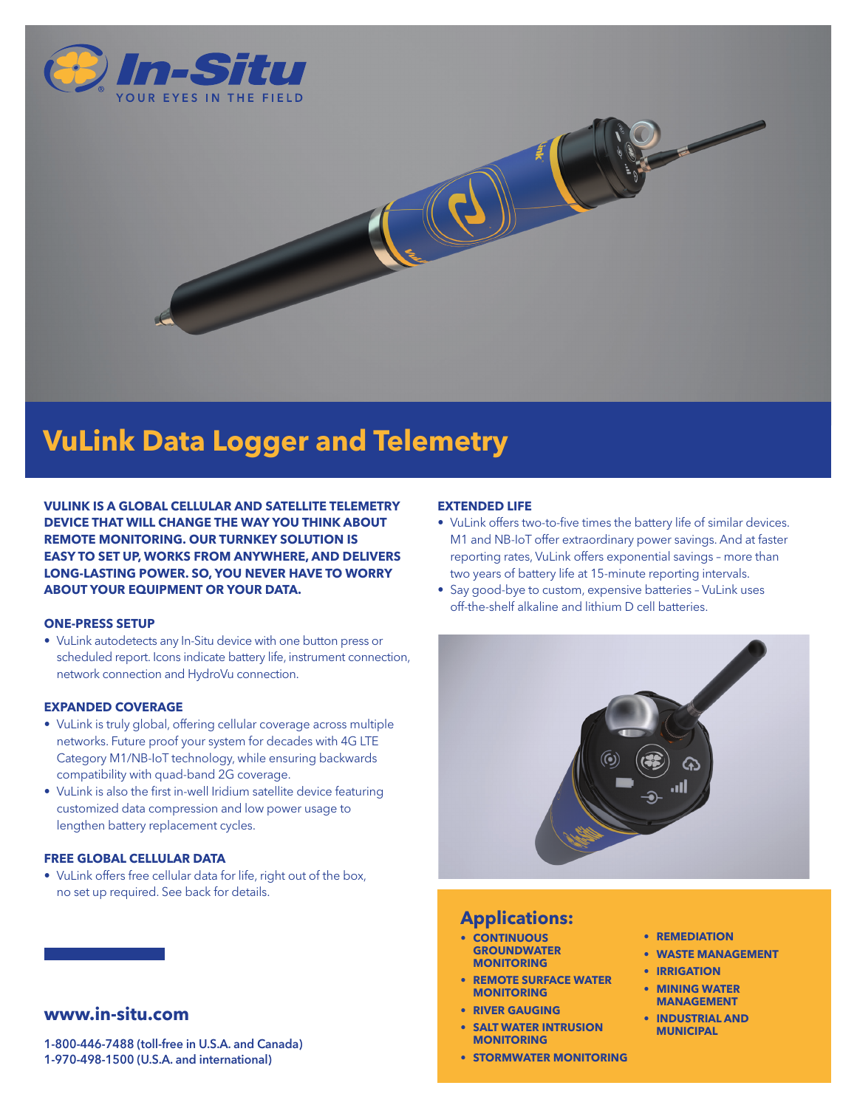

# **VuLink Data Logger and Telemetry**

**VULINK IS A GLOBAL CELLULAR AND SATELLITE TELEMETRY DEVICE THAT WILL CHANGE THE WAY YOU THINK ABOUT REMOTE MONITORING. OUR TURNKEY SOLUTION IS EASY TO SET UP, WORKS FROM ANYWHERE, AND DELIVERS LONG-LASTING POWER. SO, YOU NEVER HAVE TO WORRY ABOUT YOUR EQUIPMENT OR YOUR DATA.**

#### **ONE-PRESS SETUP**

• VuLink autodetects any In-Situ device with one button press or scheduled report. Icons indicate battery life, instrument connection, network connection and HydroVu connection.

#### **EXPANDED COVERAGE**

- VuLink is truly global, offering cellular coverage across multiple networks. Future proof your system for decades with 4G LTE Category M1/NB-IoT technology, while ensuring backwards compatibility with quad-band 2G coverage.
- VuLink is also the first in-well Iridium satellite device featuring customized data compression and low power usage to lengthen battery replacement cycles.

#### **FREE GLOBAL CELLULAR DATA**

• VuLink offers free cellular data for life, right out of the box, no set up required. See back for details.

# **www.in-situ.com**

1-800-446-7488 (toll-free in U.S.A. and Canada) 1-970-498-1500 (U.S.A. and international)

### **EXTENDED LIFE**

- VuLink offers two-to-five times the battery life of similar devices. M1 and NB-IoT offer extraordinary power savings. And at faster reporting rates, VuLink offers exponential savings – more than two years of battery life at 15-minute reporting intervals.
- Say good-bye to custom, expensive batteries VuLink uses off-the-shelf alkaline and lithium D cell batteries.



## **Applications:**

- **• CONTINUOUS GROUNDWATER MONITORING**
- **• REMOTE SURFACE WATER MONITORING**
- **• RIVER GAUGING**
- **• SALT WATER INTRUSION MONITORING**
- **• STORMWATER MONITORING**
- **• REMEDIATION**
- **• WASTE MANAGEMENT**
- **• IRRIGATION**
- **• MINING WATER MANAGEMENT**
- **• INDUSTRIAL AND MUNICIPAL**